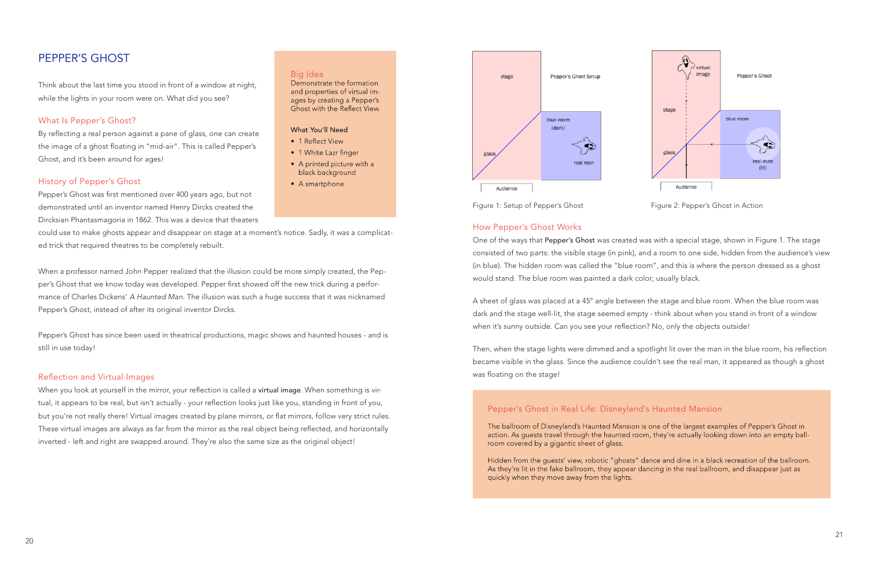

Figure 1: Setup of Pepper's Ghost Figure 2: Pepper's Ghost in Action

## How Pepper's Ghost Works

A sheet of glass was placed at a 45° angle between the stage and blue room. When the blue room was dark and the stage well-lit, the stage seemed empty - think about when you stand in front of a window when it's sunny outside. Can you see your reflection? No, only the objects outside!

One of the ways that Pepper's Ghost was created was with a special stage, shown in Figure 1. The stage consisted of two parts: the visible stage (in pink), and a room to one side, hidden from the audience's view (in blue). The hidden room was called the "blue room", and this is where the person dressed as a ghost would stand. The blue room was painted a dark color; usually black.

Then, when the stage lights were dimmed and a spotlight lit over the man in the blue room, his refection became visible in the glass. Since the audience couldn't see the real man, it appeared as though a ghost was floating on the stage!

## Pepper's Ghost in Real Life: Disneyland's Haunted Mansion

The ballroom of Disneyland's Haunted Mansion is one of the largest examples of Pepper's Ghost in action. As quests travel through the haunted room, they're actually looking down into an empty ballroom covered by a gigantic sheet of glass.

Hidden from the quests' view, robotic "ghosts" dance and dine in a black recreation of the ballroom. As they're lit in the fake ballroom, they appear dancing in the real ballroom, and disappear just as quickly when they move away from the lights.

By reflecting a real person against a pane of glass, one can create the image of a ghost foating in "mid-air". This is called Pepper's Ghost, and it's been around for ages!

Pepper's Ghost was first mentioned over 400 years ago, but not demonstrated until an inventor named Henry Dircks created the Dircksian Phantasmagoria in 1862. This was a device that theaters

## PEPPER'S GHOST

Think about the last time you stood in front of a window at night, while the lights in your room were on. What did you see?

## What Is Pepper's Ghost?

#### History of Pepper's Ghost

When you look at yourself in the mirror, your reflection is called a virtual image. When something is virtual, it appears to be real, but isn't actually - your refection looks just like you, standing in front of you, but you're not really there! Virtual images created by plane mirrors, or flat mirrors, follow very strict rules. These virtual images are always as far from the mirror as the real object being refected, and horizontally inverted - left and right are swapped around. They're also the same size as the original object!

#### Big Idea

Demonstrate the formation and properties of virtual images by creating a Pepper's Ghost with the Reflect View.

#### **What You'll Need**

- 1 Reflect View
- 1 White Lazr finger
- A printed picture with a black background
- A smartphone



could use to make ghosts appear and disappear on stage at a moment's notice. Sadly, it was a complicated trick that required theatres to be completely rebuilt.

When a professor named John Pepper realized that the illusion could be more simply created, the Pepper's Ghost that we know today was developed. Pepper first showed off the new trick during a performance of Charles Dickens' A Haunted Man. The illusion was such a huge success that it was nicknamed Pepper's Ghost, instead of after its original inventor Dircks.

Pepper's Ghost has since been used in theatrical productions, magic shows and haunted houses - and is still in use today!

#### Refection and Virtual Images